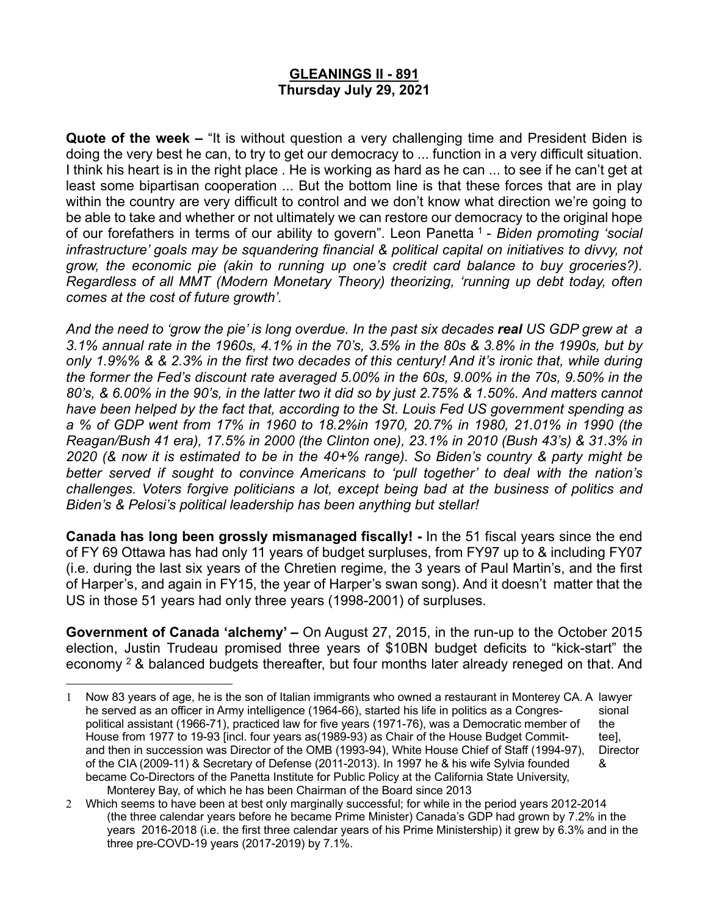## **GLEANINGS II - 891 Thursday July 29, 2021**

**Quote of the week –** "It is without question a very challenging time and President Biden is doing the very best he can, to try to get our democracy to ... function in a very difficult situation. I think his heart is in the right place . He is working as hard as he can ... to see if he can't get at least some bipartisan cooperation ... But the bottom line is that these forces that are in play within the country are very difficult to control and we don't know what direction we're going to be able to take and whether or not ultimately we can restore our democracy to the original hope of our forefathers in terms of our ability to govern". Leon Panetta <sup>1</sup> - *Biden promoting 'social infrastructure' goals may be squandering financial & political capital on initiatives to divvy, not grow, the economic pie (akin to running up one's credit card balance to buy groceries?). Regardless of all MMT (Modern Monetary Theory) theorizing, 'running up debt today, often comes at the cost of future growth'.* 

*And the need to 'grow the pie' is long overdue. In the past six decades real US GDP grew at a 3.1% annual rate in the 1960s, 4.1% in the 70's, 3.5% in the 80s & 3.8% in the 1990s, but by only 1.9%% & & 2.3% in the first two decades of this century! And it's ironic that, while during the former the Fed's discount rate averaged 5.00% in the 60s, 9.00% in the 70s, 9.50% in the 80's, & 6.00% in the 90's, in the latter two it did so by just 2.75% & 1.50%. And matters cannot have been helped by the fact that, according to the St. Louis Fed US government spending as a % of GDP went from 17% in 1960 to 18.2%in 1970, 20.7% in 1980, 21.01% in 1990 (the Reagan/Bush 41 era), 17.5% in 2000 (the Clinton one), 23.1% in 2010 (Bush 43's) & 31.3% in 2020 (& now it is estimated to be in the 40+% range). So Biden's country & party might be better served if sought to convince Americans to 'pull together' to deal with the nation's challenges. Voters forgive politicians a lot, except being bad at the business of politics and Biden's & Pelosi's political leadership has been anything but stellar!*

**Canada has long been grossly mismanaged fiscally! -** In the 51 fiscal years since the end of FY 69 Ottawa has had only 11 years of budget surpluses, from FY97 up to & including FY07 (i.e. during the last six years of the Chretien regime, the 3 years of Paul Martin's, and the first of Harper's, and again in FY15, the year of Harper's swan song). And it doesn't matter that the US in those 51 years had only three years (1998-2001) of surpluses.

**Government of Canada 'alchemy' –** On August 27, 2015, in the run-up to the October 2015 election, Justin Trudeau promised three years of \$10BN budget deficits to "kick-start" the economy  $2$  & balanced budgets thereafter, but four months later already reneged on that. And

<sup>1</sup> Now 83 years of age, he is the son of Italian immigrants who owned a restaurant in Monterey CA. A lawyer he served as an officer in Army intelligence (1964-66), started his life in politics as a Congres- sional political assistant (1966-71), practiced law for five years (1971-76), was a Democratic member of the House from 1977 to 19-93 [incl. four years as(1989-93) as Chair of the House Budget Commit- tee], and then in succession was Director of the OMB (1993-94), White House Chief of Staff (1994-97), Director of the CIA (2009-11) & Secretary of Defense (2011-2013). In 1997 he & his wife Sylvia founded & became Co-Directors of the Panetta Institute for Public Policy at the California State University, Monterey Bay, of which he has been Chairman of the Board since 2013

<sup>2</sup> Which seems to have been at best only marginally successful; for while in the period years 2012-2014 (the three calendar years before he became Prime Minister) Canada's GDP had grown by 7.2% in the years 2016-2018 (i.e. the first three calendar years of his Prime Ministership) it grew by 6.3% and in the three pre-COVD-19 years (2017-2019) by 7.1%.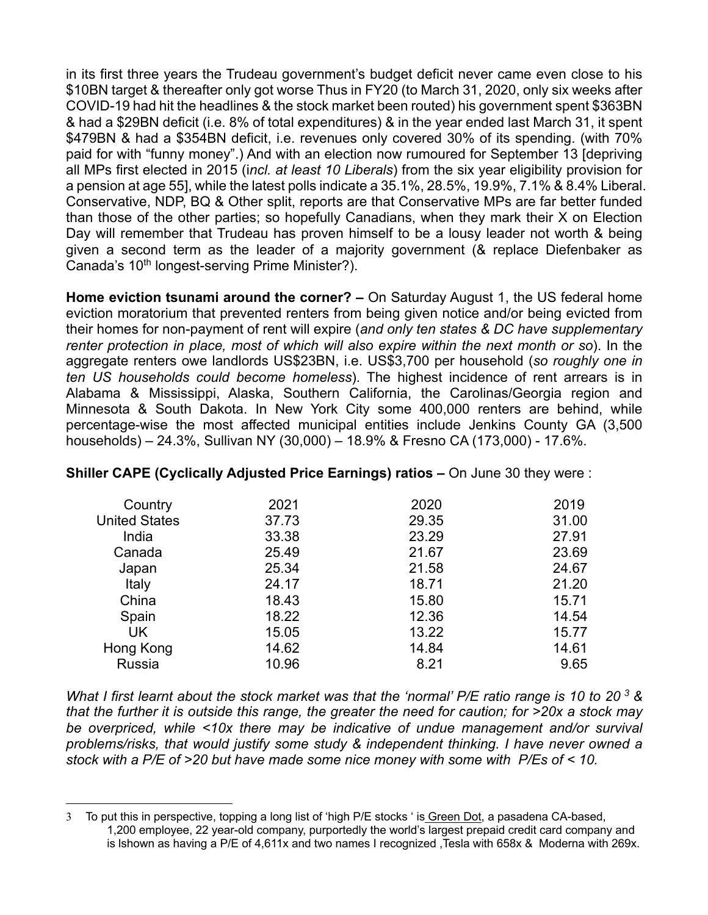in its first three years the Trudeau government's budget deficit never came even close to his \$10BN target & thereafter only got worse Thus in FY20 (to March 31, 2020, only six weeks after COVID-19 had hit the headlines & the stock market been routed) his government spent \$363BN & had a \$29BN deficit (i.e. 8% of total expenditures) & in the year ended last March 31, it spent \$479BN & had a \$354BN deficit, i.e. revenues only covered 30% of its spending. (with 70% paid for with "funny money".) And with an election now rumoured for September 13 [depriving all MPs first elected in 2015 (i*ncl. at least 10 Liberals*) from the six year eligibility provision for a pension at age 55], while the latest polls indicate a 35.1%, 28.5%, 19.9%, 7.1% & 8.4% Liberal. Conservative, NDP, BQ & Other split, reports are that Conservative MPs are far better funded than those of the other parties; so hopefully Canadians, when they mark their X on Election Day will remember that Trudeau has proven himself to be a lousy leader not worth & being given a second term as the leader of a majority government (& replace Diefenbaker as Canada's 10<sup>th</sup> longest-serving Prime Minister?).

**Home eviction tsunami around the corner? –** On Saturday August 1, the US federal home eviction moratorium that prevented renters from being given notice and/or being evicted from their homes for non-payment of rent will expire (*and only ten states & DC have supplementary renter protection in place, most of which will also expire within the next month or so*). In the aggregate renters owe landlords US\$23BN, i.e. US\$3,700 per household (*so roughly one in ten US households could become homeless*). The highest incidence of rent arrears is in Alabama & Mississippi, Alaska, Southern California, the Carolinas/Georgia region and Minnesota & South Dakota. In New York City some 400,000 renters are behind, while percentage-wise the most affected municipal entities include Jenkins County GA (3,500 households) – 24.3%, Sullivan NY (30,000) – 18.9% & Fresno CA (173,000) - 17.6%.

| Country              | 2021  | 2020  | 2019  |
|----------------------|-------|-------|-------|
| <b>United States</b> | 37.73 | 29.35 | 31.00 |
| India                | 33.38 | 23.29 | 27.91 |
| Canada               | 25.49 | 21.67 | 23.69 |
| Japan                | 25.34 | 21.58 | 24.67 |
| Italy                | 24.17 | 18.71 | 21.20 |
| China                | 18.43 | 15.80 | 15.71 |
| Spain                | 18.22 | 12.36 | 14.54 |
| <b>UK</b>            | 15.05 | 13.22 | 15.77 |
| Hong Kong            | 14.62 | 14.84 | 14.61 |
| Russia               | 10.96 | 8.21  | 9.65  |

#### **Shiller CAPE (Cyclically Adjusted Price Earnings) ratios –** On June 30 they were :

*What I first learnt about the stock market was that the 'normal' P/E ratio range is 10 to 20 3 & that the further it is outside this range, the greater the need for caution; for >20x a stock may be overpriced, while <10x there may be indicative of undue management and/or survival problems/risks, that would justify some study & independent thinking. I have never owned a stock with a P/E of >20 but have made some nice money with some with P/Es of < 10.*

<sup>3</sup> To put this in perspective, topping a long list of 'high P/E stocks ' is Green Dot, a pasadena CA-based, 1,200 employee, 22 year-old company, purportedly the world's largest prepaid credit card company and is lshown as having a P/E of 4,611x and two names I recognized ,Tesla with 658x & Moderna with 269x.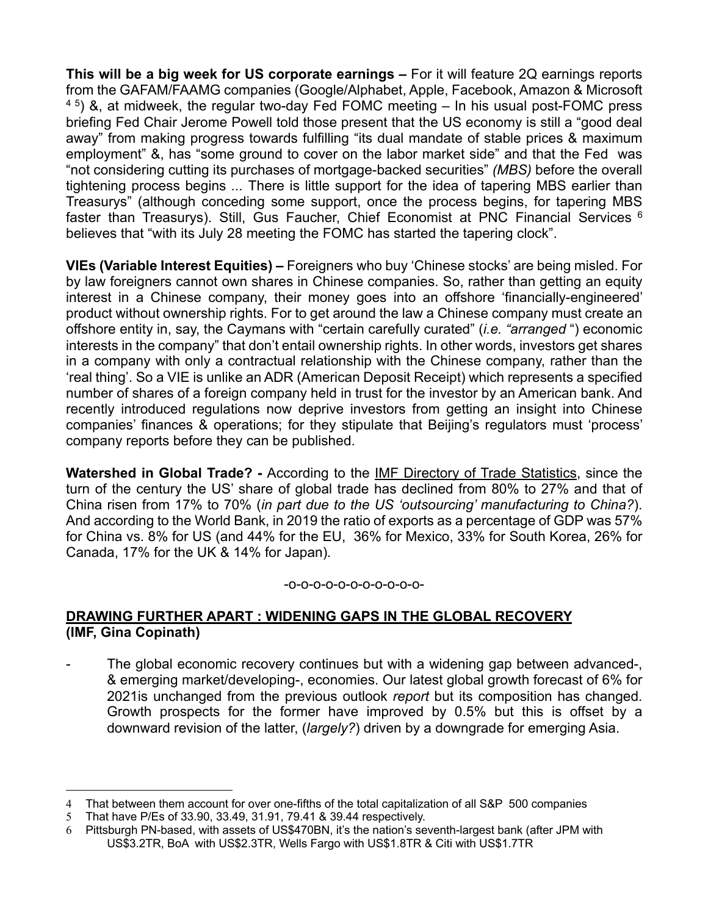**This will be a big week for US corporate earnings –** For it will feature 2Q earnings reports from the GAFAM/FAAMG companies (Google/Alphabet, Apple, Facebook, Amazon & Microsoft  $4.5$ ) &, at midweek, the regular two-day Fed FOMC meeting  $-$  In his usual post-FOMC press briefing Fed Chair Jerome Powell told those present that the US economy is still a "good deal away" from making progress towards fulfilling "its dual mandate of stable prices & maximum employment" &, has "some ground to cover on the labor market side" and that the Fed was "not considering cutting its purchases of mortgage-backed securities" *(MBS)* before the overall tightening process begins *...* There is little support for the idea of tapering MBS earlier than Treasurys" (although conceding some support, once the process begins, for tapering MBS faster than Treasurys). Still, Gus Faucher, Chief Economist at PNC Financial Services <sup>6</sup> believes that "with its July 28 meeting the FOMC has started the tapering clock".

**VIEs (Variable Interest Equities) –** Foreigners who buy 'Chinese stocks' are being misled. For by law foreigners cannot own shares in Chinese companies. So, rather than getting an equity interest in a Chinese company, their money goes into an offshore 'financially-engineered' product without ownership rights. For to get around the law a Chinese company must create an offshore entity in, say, the Caymans with "certain carefully curated" (*i.e. "arranged* ") economic interests in the company" that don't entail ownership rights. In other words, investors get shares in a company with only a contractual relationship with the Chinese company, rather than the 'real thing'. So a VIE is unlike an ADR (American Deposit Receipt) which represents a specified number of shares of a foreign company held in trust for the investor by an American bank. And recently introduced regulations now deprive investors from getting an insight into Chinese companies' finances & operations; for they stipulate that Beijing's regulators must 'process' company reports before they can be published.

**Watershed in Global Trade? -** According to the IMF Directory of Trade Statistics, since the turn of the century the US' share of global trade has declined from 80% to 27% and that of China risen from 17% to 70% (*in part due to the US 'outsourcing' manufacturing to China?*). And according to the World Bank, in 2019 the ratio of exports as a percentage of GDP was 57% for China vs. 8% for US (and 44% for the EU, 36% for Mexico, 33% for South Korea, 26% for Canada, 17% for the UK & 14% for Japan)*.* 

#### -o-o-o-o-o-o-o-o-o-o-o-

### **DRAWING FURTHER APART : WIDENING GAPS IN THE GLOBAL RECOVERY (IMF, Gina Copinath)**

The global economic recovery continues but with a widening gap between advanced-, & emerging market/developing-, economies. Our latest global growth forecast of 6% for 2021is unchanged from the previous outlook *report* but its composition has changed. Growth prospects for the former have improved by 0.5% but this is offset by a downward revision of the latter, (*largely?*) driven by a downgrade for emerging Asia.

<sup>4</sup> That between them account for over one-fifths of the total capitalization of all S&P 500 companies

<sup>5</sup> That have P/Es of 33.90, 33.49, 31.91, 79.41 & 39.44 respectively.

<sup>6</sup> Pittsburgh PN-based, with assets of US\$470BN, it's the nation's seventh-largest bank (after JPM with US\$3.2TR, BoA with US\$2.3TR, Wells Fargo with US\$1.8TR & Citi with US\$1.7TR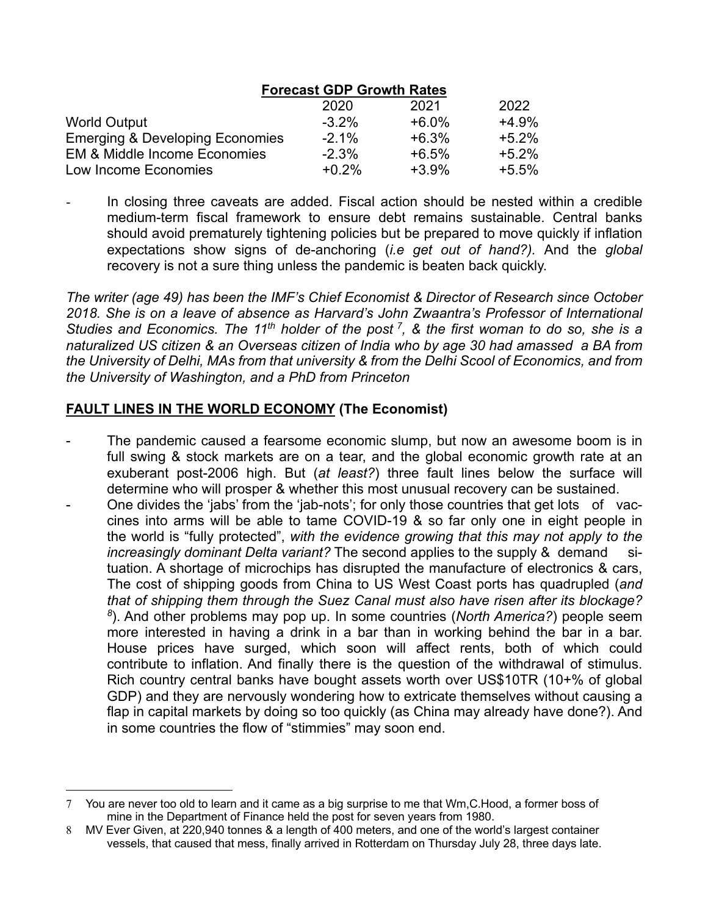|                                         | <b>Forecast GDP Growth Rates</b> |         |         |
|-----------------------------------------|----------------------------------|---------|---------|
|                                         | 2020                             | 2021    | 2022    |
| <b>World Output</b>                     | $-3.2\%$                         | $+6.0%$ | $+4.9%$ |
| Emerging & Developing Economies         | $-2.1\%$                         | $+6.3%$ | $+5.2%$ |
| <b>EM &amp; Middle Income Economies</b> | $-2.3%$                          | $+6.5%$ | $+5.2%$ |
| Low Income Economies                    | $+0.2%$                          | $+3.9%$ | $+5.5%$ |

In closing three caveats are added. Fiscal action should be nested within a credible medium-term fiscal framework to ensure debt remains sustainable. Central banks should avoid prematurely tightening policies but be prepared to move quickly if inflation expectations show signs of de-anchoring (*i.e get out of hand?).* And the *global*  recovery is not a sure thing unless the pandemic is beaten back quickly.

*The writer (age 49) has been the IMF's Chief Economist & Director of Research since October 2018. She is on a leave of absence as Harvard's John Zwaantra's Professor of International Studies and Economics. The 11th holder of the post 7, & the first woman to do so, she is a naturalized US citizen & an Overseas citizen of India who by age 30 had amassed a BA from the University of Delhi, MAs from that university & from the Delhi Scool of Economics, and from the University of Washington, and a PhD from Princeton* 

# **FAULT LINES IN THE WORLD ECONOMY (The Economist)**

- The pandemic caused a fearsome economic slump, but now an awesome boom is in full swing & stock markets are on a tear, and the global economic growth rate at an exuberant post-2006 high. But (*at least?*) three fault lines below the surface will determine who will prosper & whether this most unusual recovery can be sustained.
- One divides the 'jabs' from the 'jab-nots'; for only those countries that get lots of vaccines into arms will be able to tame COVID-19 & so far only one in eight people in the world is "fully protected", *with the evidence growing that this may not apply to the increasingly dominant Delta variant?* The second applies to the supply & demand situation. A shortage of microchips has disrupted the manufacture of electronics & cars, The cost of shipping goods from China to US West Coast ports has quadrupled (*and that of shipping them through the Suez Canal must also have risen after its blockage? <sup>8</sup>*). And other problems may pop up. In some countries (*North America?*) people seem more interested in having a drink in a bar than in working behind the bar in a bar. House prices have surged, which soon will affect rents, both of which could contribute to inflation. And finally there is the question of the withdrawal of stimulus. Rich country central banks have bought assets worth over US\$10TR (10+% of global GDP) and they are nervously wondering how to extricate themselves without causing a flap in capital markets by doing so too quickly (as China may already have done?). And in some countries the flow of "stimmies" may soon end.

<sup>7</sup> You are never too old to learn and it came as a big surprise to me that Wm,C.Hood, a former boss of mine in the Department of Finance held the post for seven years from 1980.

<sup>8</sup> MV Ever Given, at 220,940 tonnes & a length of 400 meters, and one of the world's largest container vessels, that caused that mess, finally arrived in Rotterdam on Thursday July 28, three days late.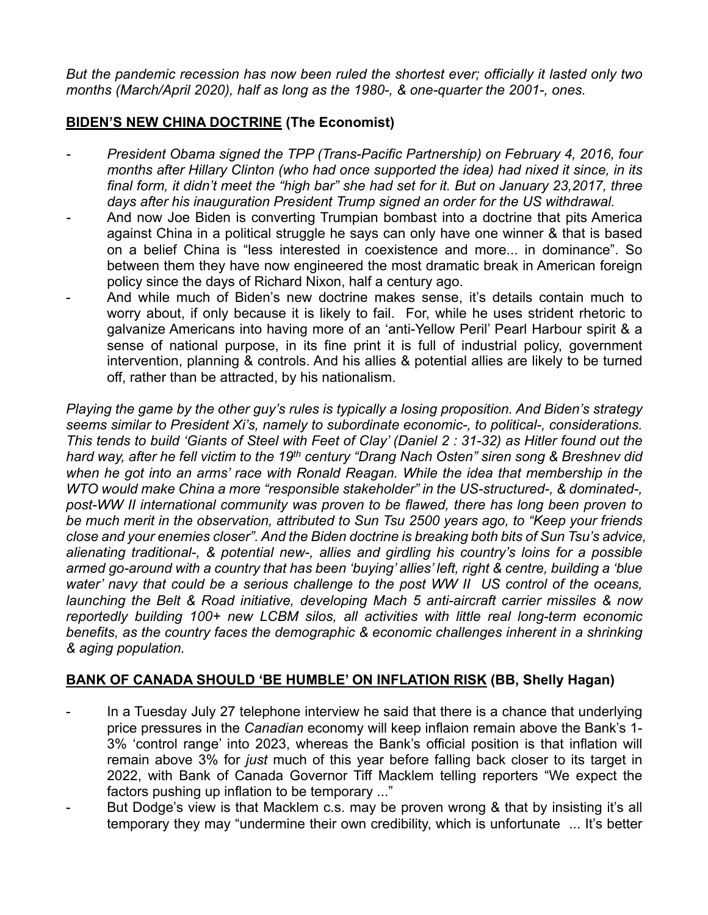*But the pandemic recession has now been ruled the shortest ever; officially it lasted only two months (March/April 2020), half as long as the 1980-, & one-quarter the 2001-, ones.* 

# **BIDEN'S NEW CHINA DOCTRINE (The Economist)**

- *- President Obama signed the TPP (Trans-Pacific Partnership) on February 4, 2016, four months after Hillary Clinton (who had once supported the idea) had nixed it since, in its final form, it didn't meet the "high bar" she had set for it. But on January 23,2017, three days after his inauguration President Trump signed an order for the US withdrawal.*
- *-* And now Joe Biden is converting Trumpian bombast into a doctrine that pits America against China in a political struggle he says can only have one winner & that is based on a belief China is "less interested in coexistence and more... in dominance". So between them they have now engineered the most dramatic break in American foreign policy since the days of Richard Nixon, half a century ago.
- And while much of Biden's new doctrine makes sense, it's details contain much to worry about, if only because it is likely to fail. For, while he uses strident rhetoric to galvanize Americans into having more of an 'anti-Yellow Peril' Pearl Harbour spirit & a sense of national purpose, in its fine print it is full of industrial policy, government intervention, planning & controls. And his allies & potential allies are likely to be turned off, rather than be attracted, by his nationalism.

*Playing the game by the other guy's rules is typically a losing proposition. And Biden's strategy seems similar to President Xi's, namely to subordinate economic-, to political-, considerations. This tends to build 'Giants of Steel with Feet of Clay' (Daniel 2 : 31-32) as Hitler found out the hard way, after he fell victim to the 19th century "Drang Nach Osten" siren song & Breshnev did when he got into an arms' race with Ronald Reagan. While the idea that membership in the WTO would make China a more "responsible stakeholder" in the US-structured-, & dominated-, post-WW II international community was proven to be flawed, there has long been proven to be much merit in the observation, attributed to Sun Tsu 2500 years ago, to "Keep your friends close and your enemies closer". And the Biden doctrine is breaking both bits of Sun Tsu's advice, alienating traditional-, & potential new-, allies and girdling his country's loins for a possible armed go-around with a country that has been 'buying' allies' left, right & centre, building a 'blue water' navy that could be a serious challenge to the post WW II US control of the oceans, launching the Belt & Road initiative, developing Mach 5 anti-aircraft carrier missiles & now reportedly building 100+ new LCBM silos, all activities with little real long-term economic benefits, as the country faces the demographic & economic challenges inherent in a shrinking & aging population.*

## **BANK OF CANADA SHOULD 'BE HUMBLE' ON INFLATION RISK (BB, Shelly Hagan)**

- In a Tuesday July 27 telephone interview he said that there is a chance that underlying price pressures in the *Canadian* economy will keep inflaion remain above the Bank's 1- 3% 'control range' into 2023, whereas the Bank's official position is that inflation will remain above 3% for *just* much of this year before falling back closer to its target in 2022, with Bank of Canada Governor Tiff Macklem telling reporters "We expect the factors pushing up inflation to be temporary ..."
- But Dodge's view is that Macklem c.s. may be proven wrong & that by insisting it's all temporary they may "undermine their own credibility, which is unfortunate ... It's better